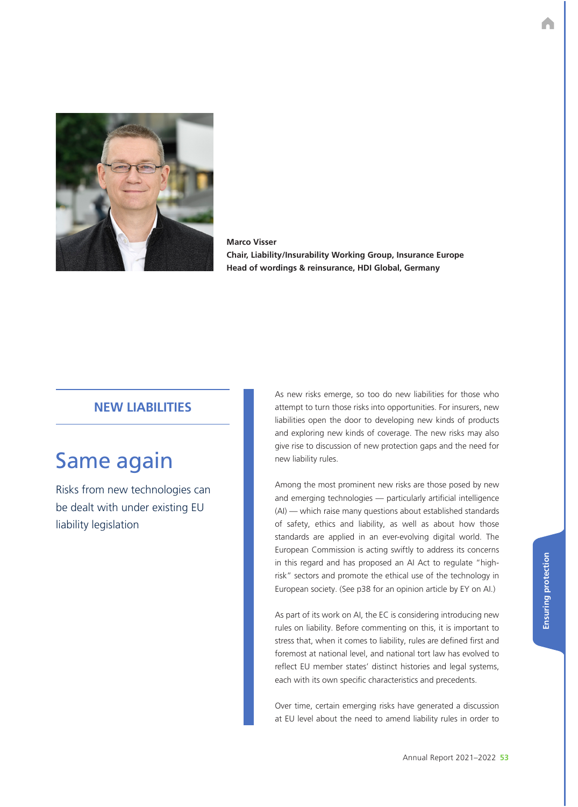

**Marco Visser Chair, Liability/Insurability Working Group, Insurance Europe Head of wordings & reinsurance, HDI Global, Germany**

## **NEW LIABILITIES**

# Same again

Risks from new technologies can be dealt with under existing EU liability legislation

As new risks emerge, so too do new liabilities for those who attempt to turn those risks into opportunities. For insurers, new liabilities open the door to developing new kinds of products and exploring new kinds of coverage. The new risks may also give rise to discussion of new protection gaps and the need for new liability rules.

Among the most prominent new risks are those posed by new and emerging technologies — particularly artificial intelligence (AI) — which raise many questions about established standards of safety, ethics and liability, as well as about how those standards are applied in an ever-evolving digital world. The European Commission is acting swiftly to address its concerns in this regard and has proposed an AI Act to regulate "highrisk" sectors and promote the ethical use of the technology in European society. (See p38 for an opinion article by EY on AI.)

As part of its work on AI, the EC is considering introducing new rules on liability. Before commenting on this, it is important to stress that, when it comes to liability, rules are defined first and foremost at national level, and national tort law has evolved to reflect EU member states' distinct histories and legal systems, each with its own specific characteristics and precedents.

Over time, certain emerging risks have generated a discussion at EU level about the need to amend liability rules in order to